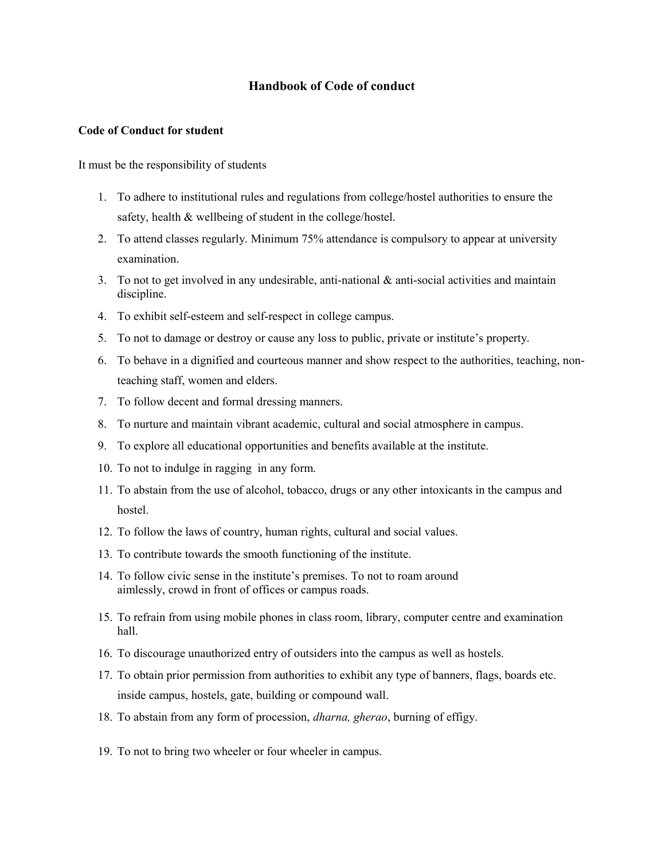## **Handbook of Code of conduct**

## **Code of Conduct for student**

It must be the responsibility of students

- 1. To adhere to institutional rules and regulations from college/hostel authorities to ensure the safety, health & wellbeing of student in the college/hostel.
- 2. To attend classes regularly. Minimum 75% attendance is compulsory to appear at university examination.
- 3. To not to get involved in any undesirable, anti-national  $\&$  anti-social activities and maintain discipline.
- 4. To exhibit self-esteem and self-respect in college campus.
- 5. To not to damage or destroy or cause any loss to public, private or institute's property.
- 6. To behave in a dignified and courteous manner and show respect to the authorities, teaching, nonteaching staff, women and elders.
- 7. To follow decent and formal dressing manners.
- 8. To nurture and maintain vibrant academic, cultural and social atmosphere in campus.
- 9. To explore all educational opportunities and benefits available at the institute.
- 10. To not to indulge in ragging in any form.
- 11. To abstain from the use of alcohol, tobacco, drugs or any other intoxicants in the campus and hostel.
- 12. To follow the laws of country, human rights, cultural and social values.
- 13. To contribute towards the smooth functioning of the institute.
- 14. To follow civic sense in the institute's premises. To not to roam around aimlessly, crowd in front of offices or campus roads.
- 15. To refrain from using mobile phones in class room, library, computer centre and examination hall.
- 16. To discourage unauthorized entry of outsiders into the campus as well as hostels.
- 17. To obtain prior permission from authorities to exhibit any type of banners, flags, boards etc. inside campus, hostels, gate, building or compound wall.
- 18. To abstain from any form of procession, *dharna, gherao*, burning of effigy.
- 19. To not to bring two wheeler or four wheeler in campus.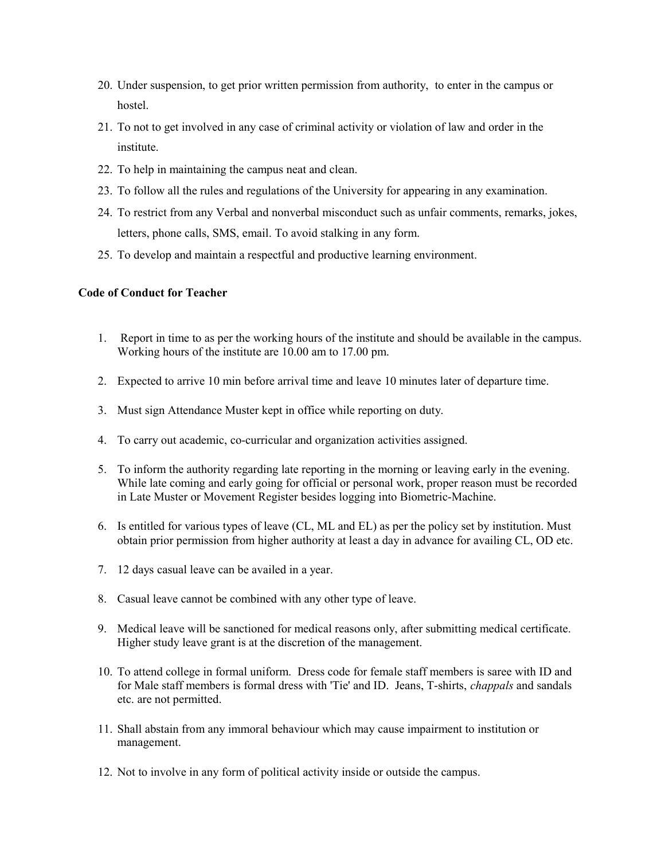- 20. Under suspension, to get prior written permission from authority, to enter in the campus or hostel.
- 21. To not to get involved in any case of criminal activity or violation of law and order in the institute.
- 22. To help in maintaining the campus neat and clean.
- 23. To follow all the rules and regulations of the University for appearing in any examination.
- 24. To restrict from any Verbal and nonverbal misconduct such as unfair comments, remarks, jokes, letters, phone calls, SMS, email. To avoid stalking in any form.
- 25. To develop and maintain a respectful and productive learning environment.

## **Code of Conduct for Teacher**

- 1. Report in time to as per the working hours of the institute and should be available in the campus. Working hours of the institute are 10.00 am to 17.00 pm.
- 2. Expected to arrive 10 min before arrival time and leave 10 minutes later of departure time.
- 3. Must sign Attendance Muster kept in office while reporting on duty.
- 4. To carry out academic, co-curricular and organization activities assigned.
- 5. To inform the authority regarding late reporting in the morning or leaving early in the evening. While late coming and early going for official or personal work, proper reason must be recorded in Late Muster or Movement Register besides logging into Biometric-Machine.
- 6. Is entitled for various types of leave (CL, ML and EL) as per the policy set by institution. Must obtain prior permission from higher authority at least a day in advance for availing CL, OD etc.
- 7. 12 days casual leave can be availed in a year.
- 8. Casual leave cannot be combined with any other type of leave.
- 9. Medical leave will be sanctioned for medical reasons only, after submitting medical certificate. Higher study leave grant is at the discretion of the management.
- 10. To attend college in formal uniform. Dress code for female staff members is saree with ID and for Male staff members is formal dress with 'Tie' and ID. Jeans, T-shirts, *chappals* and sandals etc. are not permitted.
- 11. Shall abstain from any immoral behaviour which may cause impairment to institution or management.
- 12. Not to involve in any form of political activity inside or outside the campus.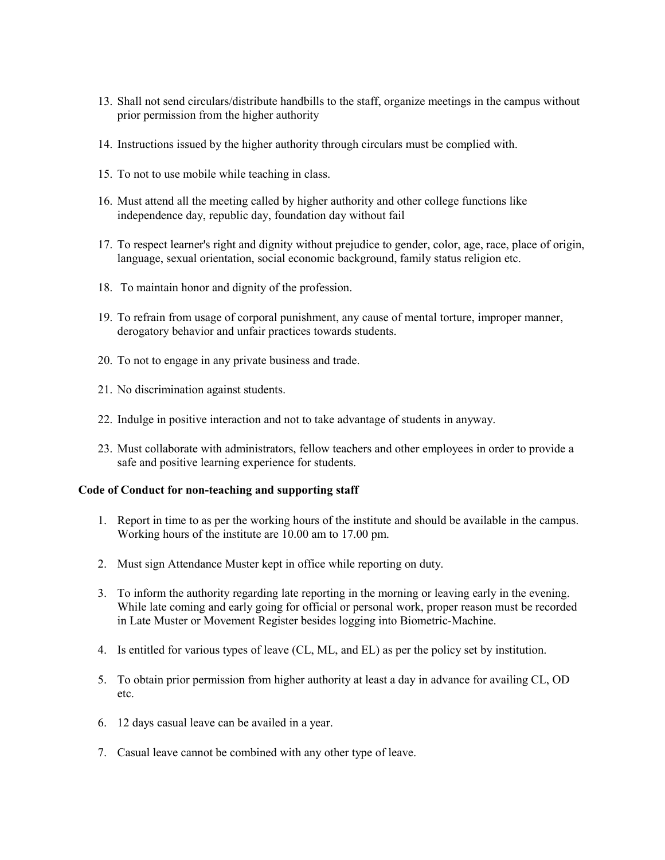- 13. Shall not send circulars/distribute handbills to the staff, organize meetings in the campus without prior permission from the higher authority
- 14. Instructions issued by the higher authority through circulars must be complied with.
- 15. To not to use mobile while teaching in class.
- 16. Must attend all the meeting called by higher authority and other college functions like independence day, republic day, foundation day without fail
- 17. To respect learner's right and dignity without prejudice to gender, color, age, race, place of origin, language, sexual orientation, social economic background, family status religion etc.
- 18. To maintain honor and dignity of the profession.
- 19. To refrain from usage of corporal punishment, any cause of mental torture, improper manner, derogatory behavior and unfair practices towards students.
- 20. To not to engage in any private business and trade.
- 21. No discrimination against students.
- 22. Indulge in positive interaction and not to take advantage of students in anyway.
- 23. Must collaborate with administrators, fellow teachers and other employees in order to provide a safe and positive learning experience for students.

## **Code of Conduct for non-teaching and supporting staff**

- 1. Report in time to as per the working hours of the institute and should be available in the campus. Working hours of the institute are 10.00 am to 17.00 pm.
- 2. Must sign Attendance Muster kept in office while reporting on duty.
- 3. To inform the authority regarding late reporting in the morning or leaving early in the evening. While late coming and early going for official or personal work, proper reason must be recorded in Late Muster or Movement Register besides logging into Biometric-Machine.
- 4. Is entitled for various types of leave (CL, ML, and EL) as per the policy set by institution.
- 5. To obtain prior permission from higher authority at least a day in advance for availing CL, OD etc.
- 6. 12 days casual leave can be availed in a year.
- 7. Casual leave cannot be combined with any other type of leave.